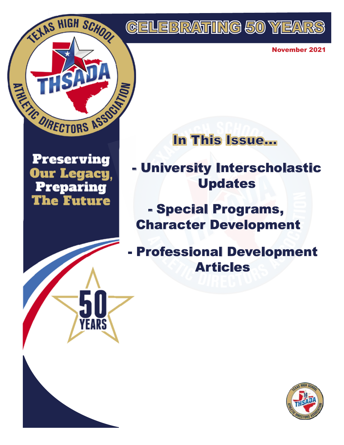

November 2021

In This Issue...

**Preserving Our Legacy, Preparing The Future** 

YEARS

- University Interscholastic Updates

- Special Programs, Character Development

- Professional Development Articles

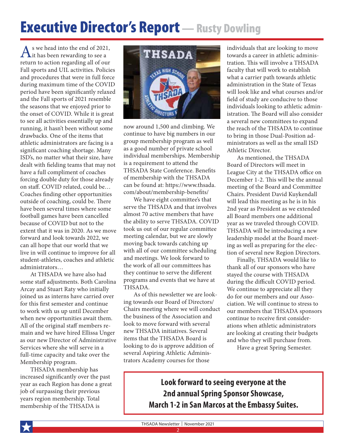# **Executive Director's Report** - Rusty Dowling

 $\mathbf{A}$ s we head into the end of 2021,<br>it has been rewarding to see a return to action regarding all of our Fall sports and UIL activities. Policies and procedures that were in full force during maximum time of the COVID period have been significantly relaxed and the Fall sports of 2021 resemble the seasons that we enjoyed prior to the onset of COVID. While it is great to see all activities essentially up and running, it hasn't been without some drawbacks. One of the items that athletic administrators are facing is a significant coaching shortage. Many ISD's, no matter what their size, have dealt with fielding teams that may not have a full compliment of coaches forcing double duty for those already on staff. COVID related, could be… Coaches finding other opportunities outside of coaching, could be. There have been several times where some football games have been cancelled because of COVID but not to the extent that it was in 2020. As we move forward and look towards 2022, we can all hope that our world that we live in will continue to improve for all student-athletes, coaches and athletic administrators…

At THSADA we have also had some staff adjustments. Both Carolina Arcay and Stuart Raty who initially joined us as interns have carried over for this first semester and continue to work with us up until December when new opportunities await them. All of the original staff members remain and we have hired Ellissa Unger as our new Director of Administrative Services where she will serve in a full-time capacity and take over the Membership program.

THSADA membership has increased significantly over the past year as each Region has done a great job of surpassing their previous years region membership. Total membership of the THSADA is



now around 1,500 and climbing. We continue to have big numbers in our group membership program as well as a good number of private school individual memberships. Membership is a requirement to attend the THSADA State Conference. Benefits of membership with the THSADA can be found at: [https://www.thsada.](https://www.thsada.com/about/membership-benefits/) [com/about/membership-benefits/](https://www.thsada.com/about/membership-benefits/) 

We have eight committee's that serve the THSADA and that involves almost 70 active members that have the ability to serve THSADA. COVID took us out of our regular committee meeting calendar, but we are slowly moving back towards catching up with all of our committee scheduling and meetings. We look forward to the work of all our committees has they continue to serve the different programs and events that we have at THSADA.

As of this newsletter we are looking towards our Board of Directors/ Chairs meeting where we will conduct the business of the Association and look to move forward with several new THSADA initiatives. Several items that the THSADA Board is looking to do is approve addition of several Aspiring Athletic Administrators Academy courses for those

individuals that are looking to move towards a career in athletic administration. This will involve a THSADA faculty that will work to establish what a carrier path towards athletic administration in the State of Texas will look like and what courses and/or field of study are conducive to those individuals looking to athletic administration. The Board will also consider a several new committees to expand the reach of the THSADA to continue to bring in those Dual-Position administrators as well as the small ISD Athletic Director.

As mentioned, the THSADA Board of Directors will meet in League City at the THSADA office on December 1-2. This will be the annual meeting of the Board and Committee Chairs. President David Kuykendall will lead this meeting as he is in his 2nd year as President as we extended all Board members one additional year as we traveled through COVID. THSADA will be introducing a new leadership model at the Board meeting as well as preparing for the election of several new Region Directors.

Finally, THSADA would like to thank all of our sponsors who have stayed the course with THSADA during the difficult COVID period. We continue to appreciate all they do for our members and our Association. We will continue to stress to our members that THSADA sponsors continue to receive first considerations when athletic administrators are looking at creating their budgets and who they will purchase from.

Have a great Spring Semester.

**Look forward to seeing everyone at the 2nd annual Spring Sponsor Showcase, March 1-2 in San Marcos at the Embassy Suites.**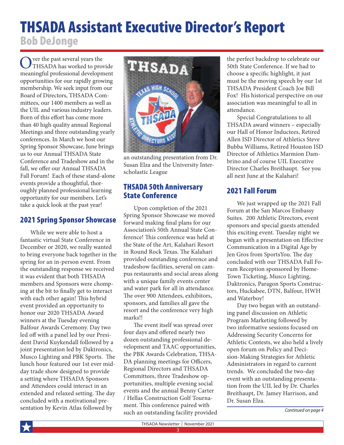## THSADA Assistant Executive Director's Report Bob DeJonge

Over the past several years the<br>THSADA has worked to provide meaningful professional development opportunities for our rapidly growing membership. We seek input from our Board of Directors, THSADA Committees, our 1400 members as well as the UIL and various industry leaders. Born of this effort has come more than 40 high quality annual Regional Meetings and three outstanding yearly conferences. In March we host our Spring Sponsor Showcase, June brings us to our Annual THSADA State Conference and Tradeshow and in the fall, we offer our Annual THSADA Fall Forum! Each of these stand-alone events provide a thoughtful, thoroughly planned professional learning opportunity for our members. Let's take a quick look at the past year!

#### 2021 Spring Sponsor Showcase

While we were able to host a fantastic virtual State Conference in December or 2020, we really wanted to bring everyone back together in the spring for an in-person event. From the outstanding response we received it was evident that both THSADA members and Sponsors were chomping at the bit to finally get to interact with each other again! This hybrid event provided an opportunity to honor our 2020 THSADA Award winners at the Tuesday evening Balfour Awards Ceremony. Day two led off with a panel led by our President David Kuykendall followed by a joint presentation led by Daktronics, Musco Lighting and PBK Sports. The lunch hour featured our 1st ever midday trade show designed to provide a setting where THSADA Sponsors and Attendees could interact in an extended and relaxed setting. The day concluded with a motivational presentation by Kevin Atlas followed by



an outstanding presentation from Dr. Susan Elza and the University Interscholastic League

#### THSADA 50th Anniversary State Conference

Upon completion of the 2021 Spring Sponsor Showcase we moved forward making final plans for our Association's 50th Annual State Conference! This conference was held at the State of the Art, Kalahari Resort in Round Rock Texas. The Kalahari provided outstanding conference and tradeshow facilities, several on campus restaurants and social areas along with a unique family events center and water park for all in attendance. The over 900 Attendees, exhibitors, sponsors, and families all gave the resort and the conference very high marks!!

The event itself was spread over four days and offered nearly two dozen outstanding professional development and TAAC opportunities, the PBK Awards Celebration, THSA-DA planning meetings for Officers, Regional Directors and THSADA Committees, three Tradeshow opportunities, multiple evening social events and the annual Benny Carter / Hellas Construction Golf Tournament. This conference paired with such an outstanding facility provided the perfect backdrop to celebrate our 50th State Conference. If we had to choose a specific highlight, it just must be the moving speech by our 1st THSADA President Coach Joe Bill Fox! His historical perspective on our association was meaningful to all in attendance.

Special Congratulations to all THSADA award winners – especially our Hall of Honor Inductees, Retired Allen ISD Director of Athletics Steve Bubba Williams, Retired Houston ISD Director of Athletics Marmion Dambrino and of course UIL Executive Director Charles Breithaupt. See you all next June at the Kalahari!

#### 2021 Fall Forum

We just wrapped up the 2021 Fall Forum at the San Marcos Embassy Suites. 200 Athletic Directors, event sponsors and special guests attended this exciting event. Tuesday night we began with a presentation on Effective Communication in a Digital Age by Jen Gros from SportsYou. The day concluded with our THSADA Fall Forum Reception sponsored by Home-Town Ticketing, Musco Lighting, Daktronics, Paragon Sports Constructors, Huckabee, DTN, Balfour, HWH and Waterboy!

Day two began with an outstanding panel discussion on Athletic Program Marketing followed by two informative sessions focused on Addressing Security Concerns for Athletic Contests, we also held a lively open forum on Policy and Decision-Making Strategies for Athletic Administrators in regard to current trends. We concluded the two-day event with an outstanding presentation from the UIL led by Dr. Charles Breithaupt, Dr. Jamey Harrison, and Dr. Susan Elza.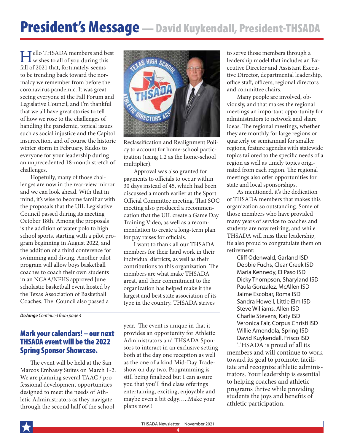# President's Message - David Kuykendall, President-THSADA

**Hello** THSADA members and best<br>wishes to all of you during this fall of 2021 that, fortunately, seems to be trending back toward the normalcy we remember from before the coronavirus pandemic. It was great seeing everyone at the Fall Forum and Legislative Council, and I'm thankful that we all have great stories to tell of how we rose to the challenges of handling the pandemic, topical issues such as social injustice and the Capitol insurrection, and of course the historic winter storm in February. Kudos to everyone for your leadership during an unprecedented 18-month stretch of challenges.

Hopefully, many of those challenges are now in the rear-view mirror and we can look ahead. With that in mind, it's wise to become familiar with the proposals that the UIL Legislative Council passed during its meeting October 18th. Among the proposals is the addition of water polo to high school sports, starting with a pilot program beginning in August 2022, and the addition of a third conference for swimming and diving. Another pilot program will allow boys basketball coaches to coach their own students in an NCAA/NFHS approved June scholastic basketball event hosted by the Texas Association of Basketball Coaches. The Council also passed a

*DeJonge Continued from page 4*

#### Mark your calendars! – our next THSADA event will be the 2022 Spring Sponsor Showcase.

The event will be held at the San Marcos Embassy Suites on March 1-2. We are planning several TAAC / professional development opportunities designed to meet the needs of Athletic Administrators as they navigate through the second half of the school



Reclassification and Realignment Policy to account for home-school participation (using 1.2 as the home-school multiplier).

Approval was also granted for payments to officials to occur within 30 days instead of 45, which had been discussed a month earlier at the Sport Official Committee meeting. That SOC meeting also produced a recommendation that the UIL create a Game Day Training Video, as well as a recommendation to create a long-term plan for pay raises for officials.

I want to thank all our THSADA members for their hard work in their individual districts, as well as their contributions to this organization. The members are what make THSADA great, and their commitment to the organization has helped make it the largest and best state association of its type in the country. THSADA strives

year. The event is unique in that it provides an opportunity for Athletic Administrators and THSADA Sponsors to interact in an exclusive setting both at the day one reception as well as the one of a kind Mid-Day Tradeshow on day two. Programming is still being finalized but I can assure you that you'll find class offerings entertaining, exciting, enjoyable and maybe even a bit edgy…..Make your plans now!!

to serve those members through a leadership model that includes an Executive Director and Assistant Executive Director, departmental leadership, office staff, officers, regional directors and committee chairs.

Many people are involved, obviously, and that makes the regional meetings an important opportunity for administrators to network and share ideas. The regional meetings, whether they are monthly for large regions or quarterly or semiannual for smaller regions, feature agendas with statewide topics tailored to the specific needs of a region as well as timely topics originated from each region. The regional meetings also offer opportunities for state and local sponsorships.

As mentioned, it's the dedication of THSADA members that makes this organization so outstanding. Some of those members who have provided many years of service to coaches and students are now retiring, and while THSADA will miss their leadership, it's also proud to congratulate them on retirement:

Cliff Odenwald, Garland ISD Debbie Fuchs, Clear Creek ISD Maria Kennedy, El Paso ISD Dicky Thompson, Sharyland ISD Paula Gonzalez, McAllen ISD Jaime Escobar, Roma ISD Sandra Howell, Little Elm ISD Steve Williams, Allen ISD Charlie Stevens, Katy ISD Veronica Fair, Corpus Christi ISD Willie Amendola, Spring ISD David Kuykendall, Frisco ISD

THSADA is proud of all its members and will continue to work toward its goal to promote, facilitate and recognize athletic administrators. Your leadership is essential to helping coaches and athletic programs thrive while providing students the joys and benefits of athletic participation.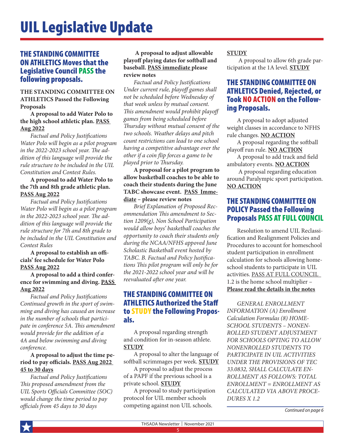#### THE STANDING COMMITTEE ON ATHLETICS Moves that the Legislative Council PASS the following proposals.

**THE STANDING COMMITTEE ON ATHLETICS Passed the Following Proposals**

**A proposal to add Water Polo to the high school athletic plan. PASS Aug 2022**

*Factual and Policy Justifications Water Polo will begin as a pilot program in the 2022-2023 school year. The addition of this language will provide the rule structure to be included in the UIL Constitution and Contest Rules.*

#### **A proposal to add Water Polo to the 7th and 8th grade athletic plan. PASS Aug 2022**

*Factual and Policy Justifications Water Polo will begin as a pilot program in the 2022-2023 school year. The addition of this language will provide the rule structure for 7th and 8th grade to be included in the UIL Constitution and Contest Rules*

**A proposal to establish an officials' fee schedule for Water Polo PASS Aug 2022**

**A proposal to add a third conference for swimming and diving. PASS Aug 2022**

*Factual and Policy Justifications Continued growth in the sport of swimming and diving has caused an increase in the number of schools that participate in conference 5A. This amendment would provide for the addition of a 4A and below swimming and diving conference*.

#### **A proposal to adjust the time period to pay officials. PASS Aug 2022 45 to 30 days**

*Factual and Policy Justifications This proposed amendment from the UIL Sports Officials Committee (SOC) would change the time period to pay officials from 45 days to 30 days*

#### **A proposal to adjust allowable playoff playing dates for softball and baseball. PASS immediate please review notes**

*Factual and Policy Justifications Under current rule, playoff games shall not be scheduled before Wednesday of that week unless by mutual consent. This amendment would prohibit playoff games from being scheduled before Thursday without mutual consent of the two schools. Weather delays and pitch count restrictions can lead to one school having a competitive advantage over the other if a coin flip forces a game to be played prior to Thursday.*

**A proposal for a pilot program to allow basketball coaches to be able to coach their students during the June TABC showcase event. PASS Immediate – please review notes**

*Brief Explanation of Proposed Recommendation This amendment to Section 1209(g), Non School Participation would allow boys' basketball coaches the opportunity to coach their students only during the NCAA/NFHS appoved June Scholastic Basketball event hosted by TABC. B. Factual and Policy Justifications This pilot program will only be for the 2021-2022 school year and will be reevaluated after one year.*

#### THE STANDING COMMITTEE ON ATHLETICS Authorized the Staff to STUDY the Following Proposals.

A proposal regarding strength and condition for in-season athlete. **STUDY**

A proposal to alter the language of softball scrimmages per week. **STUDY**

A proposal to adjust the process of a PAPF if the previous school is a private school. **STUDY**

A proposal to study participation protocol for UIL member schools competing against non UIL schools.

#### **STUDY**

 A proposal to allow 6th grade participation at the 1A level. **STUDY**

### THE STANDING COMMITTEE ON ATHLETICS Denied, Rejected, or Took NO ACTION on the Follow- ing Proposals.

A proposal to adopt adjusted weight classes in accordance to NFHS rule changes. **NO ACTION**

A proposal regarding the softball playoff run rule. **NO ACTION**

A proposal to add track and field ambulatory events. **NO ACTION**

 A proposal regarding education around Paralympic sport participation. **NO ACTION**

#### THE STANDING COMMITTEE ON POLICY Passed the Following Proposals PASS AT FULL COUNCIL

Resolution to amend UIL Reclassification and Realignment Policies and Procedures to account for homeschool student participation in enrollment calculation for schools allowing homeschool students to participate in UIL activities. PASS AT FULL COUNCIL 1.2 is the home school multiplier – **Please read the details in the notes**

*GENERAL ENROLLMENT INFORMATION (A) Enrollment Calculation Formulas (8) HOME-SCHOOL STUDENTS – NONEN-ROLLED STUDENT ADJUSTMENT FOR SCHOOLS OPTING TO ALLOW NONENROLLED STUDENTS TO PARTICIPATE IN UIL ACTIVITIES UNDER THE PROVISIONS OF TEC 33.0832, SHALL CALCULATE EN-ROLLMENT AS FOLLOWS: TOTAL ENROLLMENT = ENROLLMENT AS CALCULATED VIA ABOVE PROCE-DURES X 1.2*

*Continued on page 6*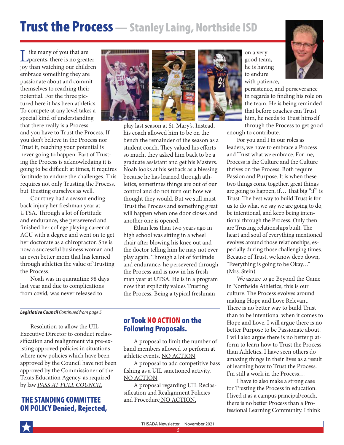## Trust the Process — Stanley Laing, Northside ISD

Like many of you that are<br>parents, there is no greater joy than watching our children embrace something they are passionate about and commit themselves to reaching their potential. For the three pictured here it has been athletics. To compete at any level takes a special kind of understanding that there really is a Process and you have to Trust the Process. If you don't believe in the Process nor Trust it, reaching your potential is never going to happen. Part of Trusting the Process is acknowledging it is going to be difficult at times, it requires fortitude to endure the challenges. This requires not only Trusting the Process, but Trusting ourselves as well.

Courtney had a season ending back injury her freshman year at UTSA. Through a lot of fortitude and endurance, she persevered and finished her college playing career at ACU with a degree and went on to get her doctorate as a chiropractor. She is now a successful business woman and an even better mom that has learned through athletics the value of Trusting the Process.

Noah was in quarantine 98 days last year and due to complications from covid, was never released to

#### *Legislative Council Continued from page 5*

Resolution to allow the UIL Executive Director to conduct reclassification and realignment via pre-existing approved policies in situations where new policies which have been approved by the Council have not been approved by the Commissioner of the Texas Education Agency, as required by law *PASS AT FULL COUNCIL*

#### THE STANDING COMMITTEE ON POLICY Denied, Rejected,





play last season at St. Mary's. Instead, his coach allowed him to be on the bench the remainder of the season as a student coach. They valued his efforts so much, they asked him back to be a graduate assistant and get his Masters. Noah looks at his setback as a blessing because he has learned through athletics, sometimes things are out of our control and do not turn out how we thought they would. But we still must Trust the Process and something great will happen when one door closes and another one is opened.

Ethan less than two years ago in high school was sitting in a wheel chair after blowing his knee out and the doctor telling him he may not ever play again. Through a lot of fortitude and endurance, he persevered through the Process and is now in his freshman year at UTSA. He is in a program now that explicitly values Trusting the Process. Being a typical freshman

#### or Took NO ACTION on the Following Proposals.

A proposal to limit the number of band members allowed to perform at athletic events. NO ACTION

A proposal to add competitive bass fishing as a UIL sanctioned activity. NO ACTION

A proposal regarding UIL Reclassification and Realignment Policies and Procedure NO ACTION.





persistence, and perseverance in regards to finding his role on the team. He is being reminded that before coaches can Trust him, he needs to Trust himself through the Process to get good

enough to contribute.

For you and I in our roles as leaders, we have to embrace a Process and Trust what we embrace. For me, Process is the Culture and the Culture thrives on the Process. Both require Passion and Purpose. It is when these two things come together, great things are going to happen, if… That big "if" is Trust. The best way to build Trust is for us to do what we say we are going to do, be intentional, and keep being intentional through the Process. Only then are Trusting relationships built. The heart and soul of everything mentioned evolves around those relationships, especially during those challenging times. Because of Trust, we know deep down, "Everything is going to be Okay…" (Mrs. Stein).

We aspire to go Beyond the Game in Northside Athletics, this is our culture. The Process evolves around making Hope and Love Relevant. There is no better way to build Trust than to be intentional when it comes to Hope and Love. I will argue there is no better Purpose to be Passionate about! I will also argue there is no better platform to learn how to Trust the Process than Athletics. I have seen others do amazing things in their lives as a result of learning how to Trust the Process. I'm still a work in the Process…

I have to also make a strong case for Trusting the Process in education. I lived it as a campus principal/coach, there is no better Process than a Professional Learning Community. I think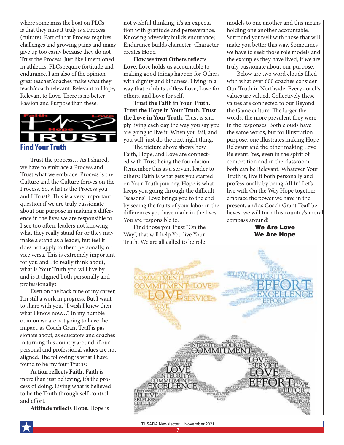where some miss the boat on PLCs is that they miss it truly is a Process (culture). Part of that Process requires challenges and growing pains and many give up too easily because they do not Trust the Process. Just like I mentioned in athletics, PLCs require fortitude and endurance. I am also of the opinion great teacher/coaches make what they teach/coach relevant. Relevant to Hope, Relevant to Love. There is no better Passion and Purpose than these.



Trust the process… As I shared, we have to embrace a Process and Trust what we embrace. Process is the Culture and the Culture thrives on the Process. So, what is the Process you and I Trust? This is a very important question if we are truly passionate about our purpose in making a difference in the lives we are responsible to. I see too often, leaders not knowing what they really stand for or they may make a stand as a leader, but feel it does not apply to them personally, or vice versa. This is extremely important for you and I to really think about, what is Your Truth you will live by and is it aligned both personally and professionally?

Even on the back nine of my career, I'm still a work in progress. But I want to share with you, "I wish I knew then, what I know now...". In my humble opinion we are not going to have the impact, as Coach Grant Teaff is passionate about, as educators and coaches in turning this country around, if our personal and professional values are not aligned. The following is what I have found to be my four Truths:

**Action reflects Faith.** Faith is more than just believing, it's the process of doing. Living what is believed to be the Truth through self-control and effort.

**Attitude reflects Hope.** Hope is

not wishful thinking, it's an expectation with gratitude and perseverance. Knowing adversity builds endurance; Endurance builds character; Character creates Hope.

**How we treat Others reflects Love.** Love holds us accountable to making good things happen for Others with dignity and kindness. Living in a way that exhibits selfless Love, Love for others, and Love for self.

**Trust the Faith in Your Truth. Trust the Hope in Your Truth. Trust the Love in Your Truth.** Trust is simply living each day the way you say you are going to live it. When you fail, and you will, just do the next right thing.

The picture above shows how Faith, Hope, and Love are connected with Trust being the foundation. Remember this as a servant leader to others: Faith is what gets you started on Your Truth journey. Hope is what keeps you going through the difficult "seasons". Love brings you to the end by seeing the fruits of your labor in the differences you have made in the lives You are responsible to.

Find those you Trust "On the Way", that will help You live Your Truth. We are all called to be role

models to one another and this means holding one another accountable. Surround yourself with those that will make you better this way. Sometimes we have to seek those role models and the examples they have lived, if we are truly passionate about our purpose.

Below are two word clouds filled with what over 600 coaches consider Our Truth in Northside. Every coach's values are valued. Collectively these values are connected to our Beyond the Game culture. The larger the words, the more prevalent they were in the responses. Both clouds have the same words, but for illustration purpose, one illustrates making Hope Relevant and the other making Love Relevant. Yes, even in the spirit of competition and in the classroom, both can be Relevant. Whatever Your Truth is, live it both personally and professionally by being All In! Let's live with On the Way Hope together, embrace the power we have in the present, and as Coach Grant Teaff believes, we will turn this country's moral compass around!

> We Are Love We Are Hope

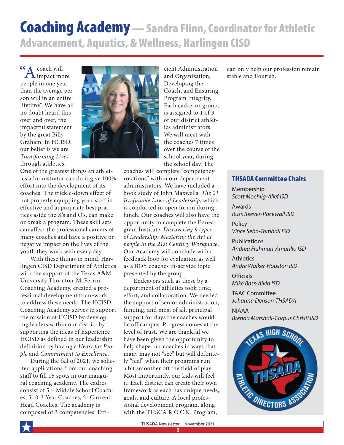## Coaching Academy — Sandra Flinn, Coordinator for Athletic Advancement, Aquatics, & Wellness, Harlingen CISD

**"A** coach will mpact more people in one year than the average person will in an entire lifetime". We have all no doubt heard this over and over, the impactful statement by the great Billy Graham. In HCISD, our belief is we are *Transforming Lives* through athletics.

One of the greatest things an athletics administrator can do is give 100% effort into the development of its coaches. The trickle-down effect of not properly equipping your staff in effective and appropriate best practices aside the X's and O's, can make or break a program. These skill sets can affect the professional careers of many coaches and have a positive or negative impact on the lives of the youth they work with every day.

With these things in mind, Harlingen CISD Department of Athletics with the support of the Texas A&M University Thornton-McFerrin Coaching Academy, created a professional development framework to address these needs. The HCISD Coaching Academy serves to support the mission of HCISD by developing leaders within our district by supporting the ideas of Experience HCISD as defined in our leadership definition by having a *Heart for People* and *Commitment to Excellence*.

During the fall of 2021, we solicited applications from our coaching staff to fill 15 spots in our inaugural coaching academy. The cadres consist of 5 – Middle School Coaches, 5- 0-3 Year Coaches, 5- Current Head Coaches. The academy is composed of 3 competencies: Effi-



cient Administration and Organization, Developing the Coach, and Ensuring Program Integrity. Each cadre, or group, is assigned to 1 of 3 of our district athletics administrators. We will meet with the coaches 7 times over the course of the school year, during the school day. The

coaches will complete "competency rotations" within our department administrators. We have included a book study of John Maxwells: *The 21 Irrefutable Laws of Leadership*, which is conducted in open forum during lunch. Our coaches will also have the opportunity to complete the Enneagram Institute, *Discovering 9 types of Leadership: Mastering the Art of people in the 21st Century Workplace*. Our Academy will conclude with a feedback loop for evaluation as well as a BOY coaches in-service topic presented by the group.

Endeavors such as these by a department of athletics took time, effort, and collaboration. We needed the support of senior administration, funding, and most of all, principal support for days the coaches would be off campus. Progress comes at the level of trust. We are thankful we have been given the opportunity to help shape our coaches in ways that many may not "see" but will definitely "feel" when their programs run a bit smoother off the field of play. Most importantly, our kids will feel it. Each district can create their own framework as each has unique needs, goals, and culture. A local professional development program, along with the THSCA R.O.C.K. Program,

can only help our profession remain stable and flourish.

#### THSADA Committee Chairs

Membership *Scott Moehlig-Alief ISD*

Awards *Russ Reeves-Rockwall ISD*

Policy *Vince Sebo-Tomball ISD*

Publications *Andrea Fluhman-Amarillo ISD*

**Athletics** *Andre Walker-Houston ISD*

**Officials** *Mike Bass-Alvin ISD*

TAAC Committee *Johanna Denson-THSADA*

NIAAA *Brenda Marshall-Corpus Christi ISD*

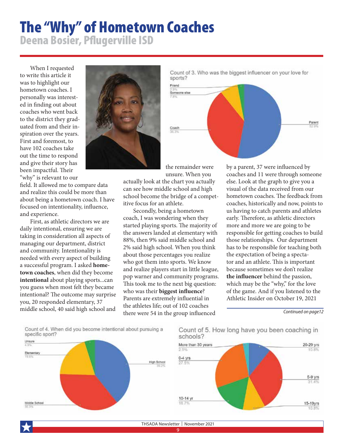## The "Why" of Hometown Coaches Deena Bosier, Pflugerville ISD

When I requested to write this article it was to highlight our hometown coaches. I personally was interested in finding out about coaches who went back to the district they graduated from and their inspiration over the years. First and foremost, to have 102 coaches take out the time to respond and give their story has been impactful. Their "why'' is relevant to our

field. It allowed me to compare data and realize this could be more than about being a hometown coach. I have focused on intentionality, influence, and experience.

First, as athletic directors we are daily intentional, ensuring we are taking in consideration all aspects of managing our department, district and community. Intentionality is needed with every aspect of building a successful program. I asked **hometown coaches**, when did they become **intentional** about playing sports...can you guess when most felt they became intentional? The outcome may surprise you, 20 responded elementary, 37 middle school, 40 said high school and



Count of 3. Who was the biggest influencer on your love for sports?



the remainder were unsure. When you

actually look at the chart you actually can see how middle school and high school become the bridge of a competitive focus for an athlete.

Secondly, being a hometown coach, I was wondering when they started playing sports. The majority of the answers landed at elementary with 88%, then 9% said middle school and 2% said high school. When you think about those percentages you realize who got them into sports. We know and realize players start in little league, pop warner and community programs. This took me to the next big question: who was their **biggest influence**? Parents are extremely influential in the athletes life; out of 102 coaches there were 54 in the group influenced

by a parent, 37 were influenced by coaches and 11 were through someone else. Look at the graph to give you a visual of the data received from our hometown coaches. The feedback from coaches, historically and now, points to us having to catch parents and athletes early. Therefore, as athletic directors more and more we are going to be responsible for getting coaches to build those relationships. Our department has to be responsible for teaching both the expectation of being a spectator and an athlete. This is important because sometimes we don't realize **the influencer** behind the passion, which may be the "why," for the love of the game. And if you listened to the Athletic Insider on October 19, 2021

*Continued on page12*

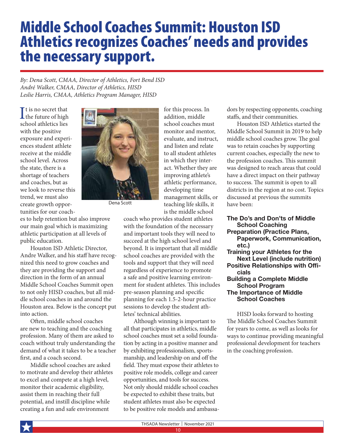## Middle School Coaches Summit: Houston ISD Athletics recognizes Coaches' needs and provides the necessary support.

*By: Dena Scott, CMAA, Director of Athletics, Fort Bend ISD André Walker, CMAA, Director of Athletics, HISD Leslie Harris, CMAA, Athletics Program Manager, HISD*

It is no secret that<br>the future of high the future of high school athletics lies with the positive exposure and experiences student athlete receive at the middle school level. Across the state, there is a shortage of teachers and coaches, but as we look to reverse this trend, we must also create growth opportunities for our coach-



Dena Scott

es to help retention but also improve our main goal which is maximizing athletic participation at all levels of public education.

Houston ISD Athletic Director, Andre Walker, and his staff have recognized this need to grow coaches and they are providing the support and direction in the form of an annual Middle School Coaches Summit open to not only HISD coaches, but all middle school coaches in and around the Houston area. Below is the concept put into action.

Often, middle school coaches are new to teaching and the coaching profession. Many of them are asked to coach without truly understanding the demand of what it takes to be a teacher first, and a coach second.

Middle school coaches are asked to motivate and develop their athletes to excel and compete at a high level, monitor their academic eligibility, assist them in reaching their full potential, and instill discipline while creating a fun and safe environment

for this process. In addition, middle school coaches must monitor and mentor, evaluate, and instruct, and listen and relate to all student athletes in which they interact. Whether they are improving athlete's athletic performance, developing time management skills, or teaching life skills, it is the middle school

coach who provides student athletes with the foundation of the necessary and important tools they will need to succeed at the high school level and beyond. It is important that all middle school coaches are provided with the tools and support that they will need regardless of experience to promote a safe and positive learning environment for student athletes. This includes pre-season planning and specific planning for each 1.5-2-hour practice sessions to develop the student ath-

letes' technical abilities.

dors by respecting opponents, coaching staffs, and their communities. Houston ISD Athletics started the

Middle School Summit in 2019 to help middle school coaches grow. The goal was to retain coaches by supporting current coaches, especially the new to the profession coaches. This summit was designed to reach areas that could have a direct impact on their pathway to success. The summit is open to all districts in the region at no cost. Topics discussed at previous the summits have been:

#### The Do's and Don'ts of Middle

#### School Coaching Preparation (Practice Plans,

- Paperwork, Communication, etc.)
- Training your Athletes for the Next Level (include nutrition) Positive Relationships with Officials Building a Complete Middle School Program

#### The Importance of Middle School Coaches

HISD looks forward to hosting The Middle School Coaches Summit for years to come, as well as looks for ways to continue providing meaningful professional development for teachers in the coaching profession.

THSADA Newsletter | November 2021

10

Although winning is important to all that participates in athletics, middle school coaches must set a solid foundation by acting in a positive manner and by exhibiting professionalism, sportsmanship, and leadership on and off the field. They must expose their athletes to positive role models, college and career opportunities, and tools for success. Not only should middle school coaches be expected to exhibit these traits, but student athletes must also be expected to be positive role models and ambassa-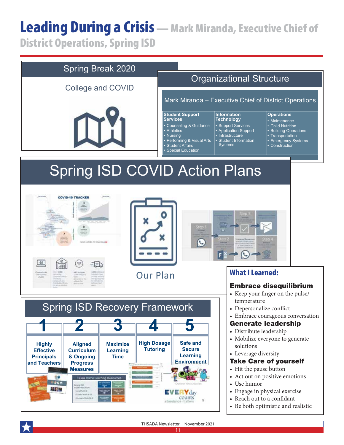# Leading During a Crisis - Mark Miranda, Executive Chief of

District Operations, Spring ISD



THSADA Newsletter | November 2021 11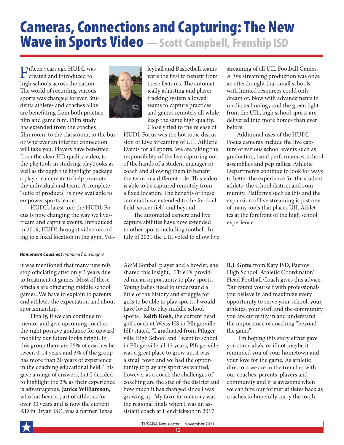## Cameras, Connections and Capturing: The New **Wave in Sports Video** — Scott Campbell, Frenship ISD

Fifteen years ago HUDL was created and introduced to high schools across the nation. The world of recording various sports was changed forever. Students athletes and coaches alike are benefitting from both practice film and game film. Film study has extended from the coaches film room, to the classroom, to the bus or wherever an internet connection will take you. Players have benefited from the clear HD quality video, to the playtools in studying playbooks as well as through the highlight package a player can create to help promote the individual and team. A complete "suite of products" is now available to empower sports teams.

HUDL's latest tool the HUDL Focus is now changing the way we livestream and capture events. Introduced in 2019, HUDL brought video recording to a fixed location in the gym. Vol-



leyball and Basketball teams were the first to benefit from these features. The automatically adjusting and player tracking system allowed teams to capture practices and games remotely all while keep the same high quality. Closely tied to the release of

HUDL Focus was the hot topic discussion of Live Streaming of UIL Athletic Events for all sports. We are taking the responsibility of the live capturing out of the hands of a student manager or coach and allowing them to benefit the team in a different role. This video is able to be captured remotely from a fixed location. The benefits of these cameras have extended to the football field, soccer field and beyond.

The automated camera and live capture abilities have now extended to other sports including football. In July of 2021 the UIL voted to allow live streaming of all UIL Football Games. A live streaming production was once an afterthought that small schools with limited resources could only dream of. Now with advancements in media technology and the green light from the UIL, high school sports are delivered into more homes than ever before.

Additional uses of the HUDL Focus cameras include the live capture of various school events such as graduation, band performances, school assemblies and pep rallies. Athletic Departments continue to look for ways to better the experience for the student athlete, the school district and community. Platforms such as this and the expansion of live streaming is just one of many tools that places UIL Athletics at the forefront of the high school experience.

#### *Hometown Coaches Continued from page 9*

it was mentioned that many new refs stop officiating after only 3 years due to treatment at games. Most of these officials are officiating middle school games. We have to explain to parents and athletes the expectation and about sportsmanship.

Finally, if we can continue to mentor and give upcoming coaches the right positive guidance for upward mobility our future looks bright. In this group there are 75% of coaches between 0-14 years and 3% of the group has more than 30 years of experience in the coaching educational field. This gave a range of answers, but I decided to highlight the 3% as their experience is advantageous. **Janice Williamson**, who has been a part of athletics for over 30 years and is now the current AD in Bryan ISD, was a former Texas

A&M Softball player and a bowler, she shared this insight, "Title IX provided me an opportunity to play sports. Young ladies need to understand a little of the history and struggle for girls to be able to play sports. I would have loved to play middle school sports." **Keith Kosh**, the current head golf coach at Weiss HS in Pflugerville ISD stated, "I graduated from Pflugerville High School and I went to school in Pflugerville all 12 years, Plfugerville was a great place to grow up, it was a small town and we had the opportunity to play any sport we wanted, however as a coach the challenges of coaching are the size of the district and how much it has changed since I was growing up. My favorite memory was the regional finals when I was an assistant coach at Hendrickson in 2017.

**B.J. Gotte** from Katy ISD, Paetow High School, Athletic Coordinator/ Head Football Coach gives this advice, "Surround yourself with professionals you believe in and maximize every opportunity to serve your school, your athletes, your staff, and the community you are currently in and understand the importance of coaching "beyond the game".

 I'm hoping this story either gave you some aha's, or if not maybe it reminded you of your hometown and your love for the game. As athletic directors we are in the trenches with our coaches, parents, players and community and it is awesome when we can hire our former athletes back as coaches to hopefully carry the torch.